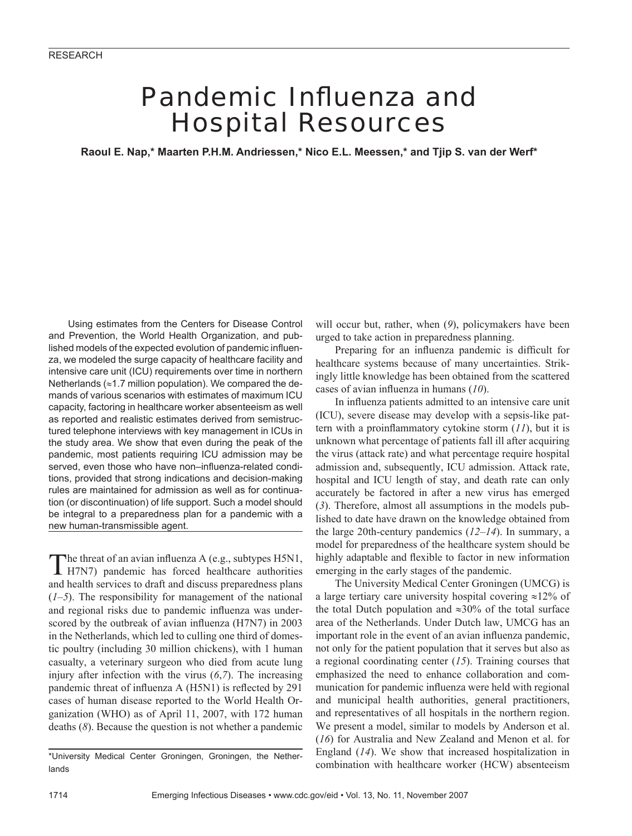# Pandemic Influenza and Hospital Resources

**Raoul E. Nap,\* Maarten P.H.M. Andriessen,\* Nico E.L. Meessen,\* and Tjip S. van der Werf\***

Using estimates from the Centers for Disease Control and Prevention, the World Health Organization, and published models of the expected evolution of pandemic influenza, we modeled the surge capacity of healthcare facility and intensive care unit (ICU) requirements over time in northern Netherlands ( $\approx$ 1.7 million population). We compared the demands of various scenarios with estimates of maximum ICU capacity, factoring in healthcare worker absenteeism as well as reported and realistic estimates derived from semistructured telephone interviews with key management in ICUs in the study area. We show that even during the peak of the pandemic, most patients requiring ICU admission may be served, even those who have non-influenza-related conditions, provided that strong indications and decision-making rules are maintained for admission as well as for continuation (or discontinuation) of life support. Such a model should be integral to a preparedness plan for a pandemic with a new human-transmissible agent.

The threat of an avian influenza A (e.g., subtypes H5N1, H7N7) pandemic has forced healthcare authorities and health services to draft and discuss preparedness plans (*1*–*5*). The responsibility for management of the national and regional risks due to pandemic influenza was underscored by the outbreak of avian influenza (H7N7) in 2003 in the Netherlands, which led to culling one third of domestic poultry (including 30 million chickens), with 1 human casualty, a veterinary surgeon who died from acute lung injury after infection with the virus (*6*,*7*). The increasing pandemic threat of influenza A (H5N1) is reflected by 291 cases of human disease reported to the World Health Organization (WHO) as of April 11, 2007, with 172 human deaths (*8*). Because the question is not whether a pandemic

\*University Medical Center Groningen, Groningen, the Netherlands

will occur but, rather, when (*9*), policymakers have been urged to take action in preparedness planning.

Preparing for an influenza pandemic is difficult for healthcare systems because of many uncertainties. Strikingly little knowledge has been obtained from the scattered cases of avian influenza in humans (10).

In influenza patients admitted to an intensive care unit (ICU), severe disease may develop with a sepsis-like pattern with a proinflammatory cytokine storm  $(11)$ , but it is unknown what percentage of patients fall ill after acquiring the virus (attack rate) and what percentage require hospital admission and, subsequently, ICU admission. Attack rate, hospital and ICU length of stay, and death rate can only accurately be factored in after a new virus has emerged (*3*). Therefore, almost all assumptions in the models published to date have drawn on the knowledge obtained from the large 20th-century pandemics (*12*–*14*). In summary, a model for preparedness of the healthcare system should be highly adaptable and flexible to factor in new information emerging in the early stages of the pandemic.

The University Medical Center Groningen (UMCG) is a large tertiary care university hospital covering ≈12% of the total Dutch population and ≈30% of the total surface area of the Netherlands. Under Dutch law, UMCG has an important role in the event of an avian influenza pandemic, not only for the patient population that it serves but also as a regional coordinating center (*15*). Training courses that emphasized the need to enhance collaboration and communication for pandemic influenza were held with regional and municipal health authorities, general practitioners, and representatives of all hospitals in the northern region. We present a model, similar to models by Anderson et al. (*16*) for Australia and New Zealand and Menon et al. for England (*14*). We show that increased hospitalization in combination with healthcare worker (HCW) absenteeism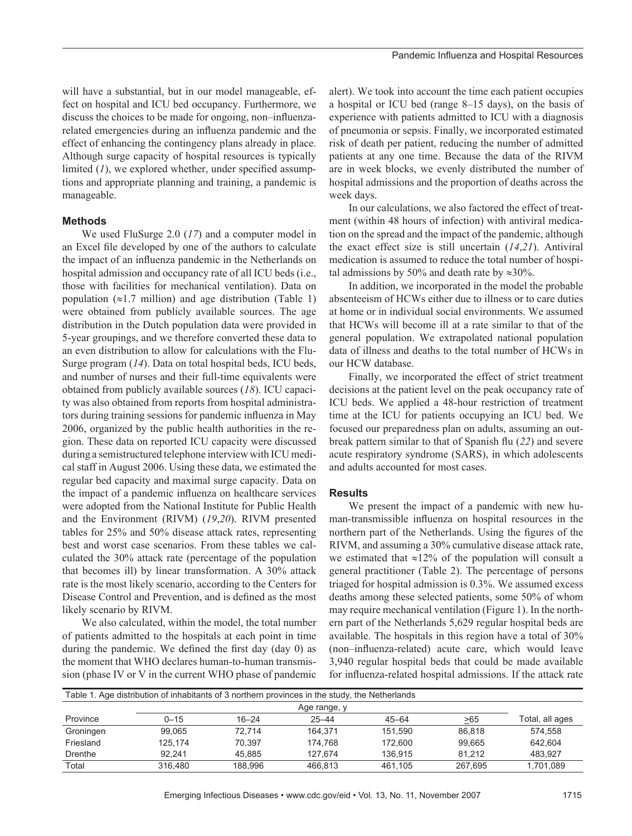will have a substantial, but in our model manageable, effect on hospital and ICU bed occupancy. Furthermore, we discuss the choices to be made for ongoing, non–influenzarelated emergencies during an influenza pandemic and the effect of enhancing the contingency plans already in place. Although surge capacity of hospital resources is typically limited  $(I)$ , we explored whether, under specified assumptions and appropriate planning and training, a pandemic is manageable.

## **Methods**

We used FluSurge 2.0 (*17*) and a computer model in an Excel file developed by one of the authors to calculate the impact of an influenza pandemic in the Netherlands on hospital admission and occupancy rate of all ICU beds (i.e., those with facilities for mechanical ventilation). Data on population  $(\approx 1.7 \text{ million})$  and age distribution (Table 1) were obtained from publicly available sources. The age distribution in the Dutch population data were provided in 5-year groupings, and we therefore converted these data to an even distribution to allow for calculations with the Flu-Surge program (*14*). Data on total hospital beds, ICU beds, and number of nurses and their full-time equivalents were obtained from publicly available sources (*18*). ICU capacity was also obtained from reports from hospital administrators during training sessions for pandemic influenza in May 2006, organized by the public health authorities in the region. These data on reported ICU capacity were discussed during a semistructured telephone interview with ICU medical staff in August 2006. Using these data, we estimated the regular bed capacity and maximal surge capacity. Data on the impact of a pandemic influenza on healthcare services were adopted from the National Institute for Public Health and the Environment (RIVM) (*19*,*20*). RIVM presented tables for 25% and 50% disease attack rates, representing best and worst case scenarios. From these tables we calculated the 30% attack rate (percentage of the population that becomes ill) by linear transformation. A 30% attack rate is the most likely scenario, according to the Centers for Disease Control and Prevention, and is defined as the most likely scenario by RIVM.

We also calculated, within the model, the total number of patients admitted to the hospitals at each point in time during the pandemic. We defined the first day (day  $\theta$ ) as the moment that WHO declares human-to-human transmission (phase IV or V in the current WHO phase of pandemic

alert). We took into account the time each patient occupies a hospital or ICU bed (range 8–15 days), on the basis of experience with patients admitted to ICU with a diagnosis of pneumonia or sepsis. Finally, we incorporated estimated risk of death per patient, reducing the number of admitted patients at any one time. Because the data of the RIVM are in week blocks, we evenly distributed the number of hospital admissions and the proportion of deaths across the week days.

In our calculations, we also factored the effect of treatment (within 48 hours of infection) with antiviral medication on the spread and the impact of the pandemic, although the exact effect size is still uncertain (*14*,*21*). Antiviral medication is assumed to reduce the total number of hospital admissions by 50% and death rate by  $\approx 30\%$ .

In addition, we incorporated in the model the probable absenteeism of HCWs either due to illness or to care duties at home or in individual social environments. We assumed that HCWs will become ill at a rate similar to that of the general population. We extrapolated national population data of illness and deaths to the total number of HCWs in our HCW database.

Finally, we incorporated the effect of strict treatment decisions at the patient level on the peak occupancy rate of ICU beds. We applied a 48-hour restriction of treatment time at the ICU for patients occupying an ICU bed. We focused our preparedness plan on adults, assuming an outbreak pattern similar to that of Spanish flu (22) and severe acute respiratory syndrome (SARS), in which adolescents and adults accounted for most cases.

#### **Results**

We present the impact of a pandemic with new human-transmissible influenza on hospital resources in the northern part of the Netherlands. Using the figures of the RIVM, and assuming a 30% cumulative disease attack rate, we estimated that  $\approx$ 12% of the population will consult a general practitioner (Table 2). The percentage of persons triaged for hospital admission is 0.3%. We assumed excess deaths among these selected patients, some 50% of whom may require mechanical ventilation (Figure 1). In the northern part of the Netherlands 5,629 regular hospital beds are available. The hospitals in this region have a total of 30% (non–influenza-related) acute care, which would leave 3,940 regular hospital beds that could be made available for influenza-related hospital admissions. If the attack rate

| Table 1. Age distribution of inhabitants of 3 northern provinces in the study, the Netherlands |              |           |           |           |         |                 |  |  |  |
|------------------------------------------------------------------------------------------------|--------------|-----------|-----------|-----------|---------|-----------------|--|--|--|
|                                                                                                | Age range, y |           |           |           |         |                 |  |  |  |
| Province                                                                                       | $0 - 15$     | $16 - 24$ | $25 - 44$ | $45 - 64$ | >65     | Total, all ages |  |  |  |
| Groningen                                                                                      | 99.065       | 72.714    | 164.371   | 151.590   | 86.818  | 574.558         |  |  |  |
| Friesland                                                                                      | 125.174      | 70.397    | 174.768   | 172.600   | 99.665  | 642.604         |  |  |  |
| Drenthe                                                                                        | 92.241       | 45.885    | 127.674   | 136.915   | 81.212  | 483.927         |  |  |  |
| Total                                                                                          | 316.480      | 188.996   | 466.813   | 461.105   | 267.695 | 1,701,089       |  |  |  |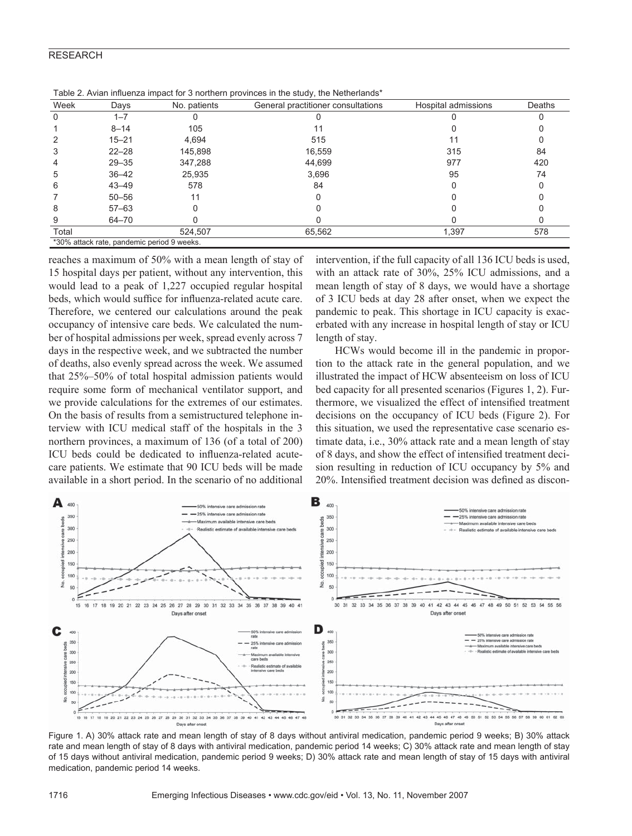### RESEARCH

| Week  | Days      | No. patients | General practitioner consultations | Hospital admissions | Deaths |
|-------|-----------|--------------|------------------------------------|---------------------|--------|
|       | $1 - 7$   |              |                                    |                     |        |
|       | $8 - 14$  | 105          | 11                                 |                     |        |
|       | $15 - 21$ | 4,694        | 515                                |                     |        |
| 3     | $22 - 28$ | 145,898      | 16,559                             | 315                 | 84     |
| 4     | $29 - 35$ | 347,288      | 44,699                             | 977                 | 420    |
| 5     | $36 - 42$ | 25,935       | 3,696                              | 95                  | 74     |
| 6     | $43 - 49$ | 578          | 84                                 |                     |        |
|       | $50 - 56$ | 11           | C                                  |                     |        |
| 8     | $57 - 63$ |              |                                    |                     |        |
| 9     | 64-70     |              |                                    |                     |        |
| Total |           | 524,507      | 65,562                             | 1,397               | 578    |

Table 2. Avian influenza impact for 3 northern provinces in the study, the Netherlands\*

% attack rate, pandemic period 9 week

reaches a maximum of 50% with a mean length of stay of 15 hospital days per patient, without any intervention, this would lead to a peak of 1,227 occupied regular hospital beds, which would suffice for influenza-related acute care. Therefore, we centered our calculations around the peak occupancy of intensive care beds. We calculated the number of hospital admissions per week, spread evenly across 7 days in the respective week, and we subtracted the number of deaths, also evenly spread across the week. We assumed that 25%–50% of total hospital admission patients would require some form of mechanical ventilator support, and we provide calculations for the extremes of our estimates. On the basis of results from a semistructured telephone interview with ICU medical staff of the hospitals in the 3 northern provinces, a maximum of 136 (of a total of 200) ICU beds could be dedicated to influenza-related acutecare patients. We estimate that 90 ICU beds will be made available in a short period. In the scenario of no additional

intervention, if the full capacity of all 136 ICU beds is used, with an attack rate of 30%, 25% ICU admissions, and a mean length of stay of 8 days, we would have a shortage of 3 ICU beds at day 28 after onset, when we expect the pandemic to peak. This shortage in ICU capacity is exacerbated with any increase in hospital length of stay or ICU length of stay.

HCWs would become ill in the pandemic in proportion to the attack rate in the general population, and we illustrated the impact of HCW absenteeism on loss of ICU bed capacity for all presented scenarios (Figures 1, 2). Furthermore, we visualized the effect of intensified treatment decisions on the occupancy of ICU beds (Figure 2). For this situation, we used the representative case scenario estimate data, i.e., 30% attack rate and a mean length of stay of 8 days, and show the effect of intensified treatment decision resulting in reduction of ICU occupancy by 5% and 20%. Intensified treatment decision was defined as discon-



Figure 1. A) 30% attack rate and mean length of stay of 8 days without antiviral medication, pandemic period 9 weeks; B) 30% attack rate and mean length of stay of 8 days with antiviral medication, pandemic period 14 weeks; C) 30% attack rate and mean length of stay of 15 days without antiviral medication, pandemic period 9 weeks; D) 30% attack rate and mean length of stay of 15 days with antiviral medication, pandemic period 14 weeks.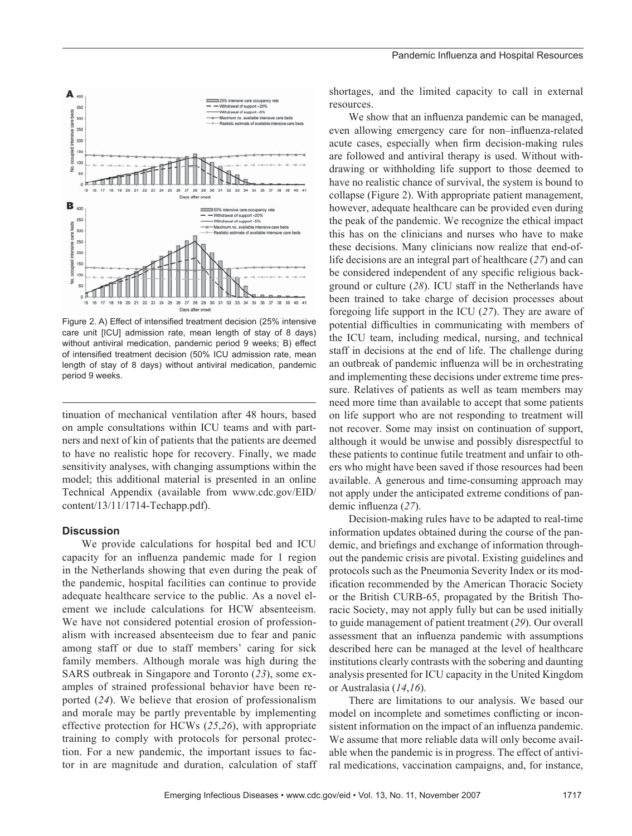

Figure 2. A) Effect of intensified treatment decision (25% intensive care unit [ICU] admission rate, mean length of stay of 8 days) without antiviral medication, pandemic period 9 weeks; B) effect of intensified treatment decision (50% ICU admission rate, mean length of stay of 8 days) without antiviral medication, pandemic period 9 weeks.

tinuation of mechanical ventilation after 48 hours, based on ample consultations within ICU teams and with partners and next of kin of patients that the patients are deemed to have no realistic hope for recovery. Finally, we made sensitivity analyses, with changing assumptions within the model; this additional material is presented in an online Technical Appendix (available from www.cdc.gov/EID/ content/13/11/1714-Techapp.pdf).

#### **Discussion**

We provide calculations for hospital bed and ICU capacity for an influenza pandemic made for 1 region in the Netherlands showing that even during the peak of the pandemic, hospital facilities can continue to provide adequate healthcare service to the public. As a novel element we include calculations for HCW absenteeism. We have not considered potential erosion of professionalism with increased absenteeism due to fear and panic among staff or due to staff members' caring for sick family members. Although morale was high during the SARS outbreak in Singapore and Toronto (*23*), some examples of strained professional behavior have been reported (*24*). We believe that erosion of professionalism and morale may be partly preventable by implementing effective protection for HCWs (*25*,*26*), with appropriate training to comply with protocols for personal protection. For a new pandemic, the important issues to factor in are magnitude and duration, calculation of staff shortages, and the limited capacity to call in external resources.

We show that an influenza pandemic can be managed, even allowing emergency care for non–influenza-related acute cases, especially when firm decision-making rules are followed and antiviral therapy is used. Without withdrawing or withholding life support to those deemed to have no realistic chance of survival, the system is bound to collapse (Figure 2). With appropriate patient management, however, adequate healthcare can be provided even during the peak of the pandemic. We recognize the ethical impact this has on the clinicians and nurses who have to make these decisions. Many clinicians now realize that end-oflife decisions are an integral part of healthcare (*27*) and can be considered independent of any specific religious background or culture (*28*). ICU staff in the Netherlands have been trained to take charge of decision processes about foregoing life support in the ICU (*27*). They are aware of potential difficulties in communicating with members of the ICU team, including medical, nursing, and technical staff in decisions at the end of life. The challenge during an outbreak of pandemic influenza will be in orchestrating and implementing these decisions under extreme time pressure. Relatives of patients as well as team members may need more time than available to accept that some patients on life support who are not responding to treatment will not recover. Some may insist on continuation of support, although it would be unwise and possibly disrespectful to these patients to continue futile treatment and unfair to others who might have been saved if those resources had been available. A generous and time-consuming approach may not apply under the anticipated extreme conditions of pandemic influenza (27).

Decision-making rules have to be adapted to real-time information updates obtained during the course of the pandemic, and briefings and exchange of information throughout the pandemic crisis are pivotal. Existing guidelines and protocols such as the Pneumonia Severity Index or its modification recommended by the American Thoracic Society or the British CURB-65, propagated by the British Thoracic Society, may not apply fully but can be used initially to guide management of patient treatment (*29*). Our overall assessment that an influenza pandemic with assumptions described here can be managed at the level of healthcare institutions clearly contrasts with the sobering and daunting analysis presented for ICU capacity in the United Kingdom or Australasia (*14*,*16*).

There are limitations to our analysis. We based our model on incomplete and sometimes conflicting or inconsistent information on the impact of an influenza pandemic. We assume that more reliable data will only become available when the pandemic is in progress. The effect of antiviral medications, vaccination campaigns, and, for instance,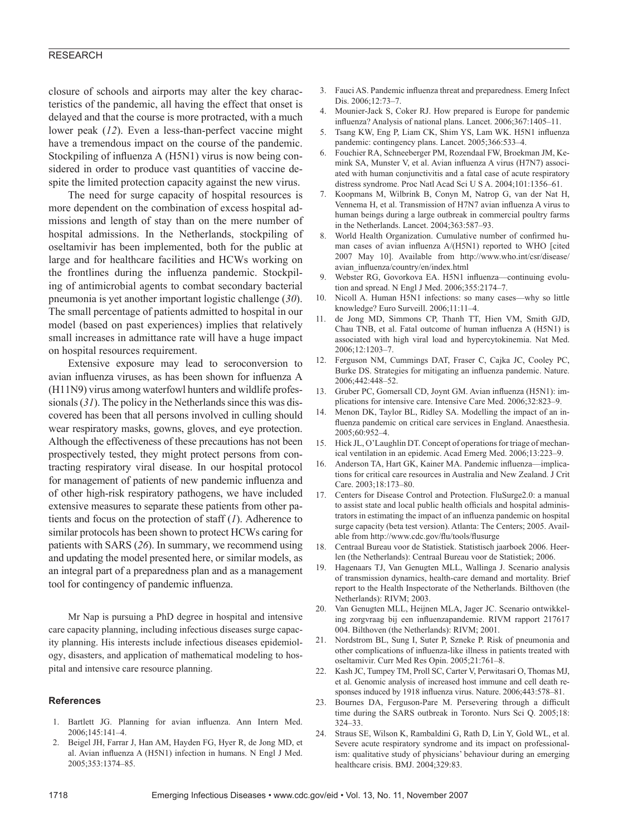#### RESEARCH

closure of schools and airports may alter the key characteristics of the pandemic, all having the effect that onset is delayed and that the course is more protracted, with a much lower peak (*12*). Even a less-than-perfect vaccine might have a tremendous impact on the course of the pandemic. Stockpiling of influenza A (H5N1) virus is now being considered in order to produce vast quantities of vaccine despite the limited protection capacity against the new virus.

The need for surge capacity of hospital resources is more dependent on the combination of excess hospital admissions and length of stay than on the mere number of hospital admissions. In the Netherlands, stockpiling of oseltamivir has been implemented, both for the public at large and for healthcare facilities and HCWs working on the frontlines during the influenza pandemic. Stockpiling of antimicrobial agents to combat secondary bacterial pneumonia is yet another important logistic challenge (*30*). The small percentage of patients admitted to hospital in our model (based on past experiences) implies that relatively small increases in admittance rate will have a huge impact on hospital resources requirement.

Extensive exposure may lead to seroconversion to avian influenza viruses, as has been shown for influenza A (H11N9) virus among waterfowl hunters and wildlife professionals (*31*). The policy in the Netherlands since this was discovered has been that all persons involved in culling should wear respiratory masks, gowns, gloves, and eye protection. Although the effectiveness of these precautions has not been prospectively tested, they might protect persons from contracting respiratory viral disease. In our hospital protocol for management of patients of new pandemic influenza and of other high-risk respiratory pathogens, we have included extensive measures to separate these patients from other patients and focus on the protection of staff (*1*). Adherence to similar protocols has been shown to protect HCWs caring for patients with SARS (*26*). In summary, we recommend using and updating the model presented here, or similar models, as an integral part of a preparedness plan and as a management tool for contingency of pandemic influenza.

Mr Nap is pursuing a PhD degree in hospital and intensive care capacity planning, including infectious diseases surge capacity planning. His interests include infectious diseases epidemiology, disasters, and application of mathematical modeling to hospital and intensive care resource planning.

#### **References**

- 1. Bartlett JG. Planning for avian influenza. Ann Intern Med. 2006;145:141–4.
- 2. Beigel JH, Farrar J, Han AM, Hayden FG, Hyer R, de Jong MD, et al. Avian influenza A (H5N1) infection in humans. N Engl J Med. 2005;353:1374–85.
- 3. Fauci AS. Pandemic influenza threat and preparedness. Emerg Infect Dis. 2006;12:73–7.
- Mounier-Jack S, Coker RJ. How prepared is Europe for pandemic influenza? Analysis of national plans. Lancet. 2006;367:1405-11.
- 5. Tsang KW, Eng P, Liam CK, Shim YS, Lam WK. H5N1 influenza pandemic: contingency plans. Lancet. 2005;366:533–4.
- 6. Fouchier RA, Schneeberger PM, Rozendaal FW, Broekman JM, Kemink SA, Munster V, et al. Avian influenza A virus (H7N7) associated with human conjunctivitis and a fatal case of acute respiratory distress syndrome. Proc Natl Acad Sci U S A. 2004;101:1356–61.
- 7. Koopmans M, Wilbrink B, Conyn M, Natrop G, van der Nat H, Vennema H, et al. Transmission of H7N7 avian influenza A virus to human beings during a large outbreak in commercial poultry farms in the Netherlands. Lancet. 2004;363:587–93.
- 8. World Health Organization. Cumulative number of confirmed human cases of avian influenza A/(H5N1) reported to WHO [cited 2007 May 10]. Available from http://www.who.int/csr/disease/ avian\_influenza/country/en/index.html
- Webster RG, Govorkova EA. H5N1 influenza-continuing evolution and spread. N Engl J Med. 2006;355:2174–7.
- 10. Nicoll A. Human H5N1 infections: so many cases—why so little knowledge? Euro Surveill. 2006;11:11–4.
- 11. de Jong MD, Simmons CP, Thanh TT, Hien VM, Smith GJD, Chau TNB, et al. Fatal outcome of human influenza A (H5N1) is associated with high viral load and hypercytokinemia. Nat Med. 2006;12:1203–7.
- 12. Ferguson NM, Cummings DAT, Fraser C, Cajka JC, Cooley PC, Burke DS. Strategies for mitigating an influenza pandemic. Nature. 2006;442:448–52.
- 13. Gruber PC, Gomersall CD, Joynt GM. Avian influenza (H5N1): implications for intensive care. Intensive Care Med. 2006;32:823–9.
- 14. Menon DK, Taylor BL, Ridley SA. Modelling the impact of an influenza pandemic on critical care services in England. Anaesthesia. 2005;60:952–4.
- 15. Hick JL, O'Laughlin DT. Concept of operations for triage of mechanical ventilation in an epidemic. Acad Emerg Med. 2006;13:223–9.
- 16. Anderson TA, Hart GK, Kainer MA. Pandemic influenza—implications for critical care resources in Australia and New Zealand. J Crit Care. 2003;18:173–80.
- 17. Centers for Disease Control and Protection. FluSurge2.0: a manual to assist state and local public health officials and hospital administrators in estimating the impact of an influenza pandemic on hospital surge capacity (beta test version). Atlanta: The Centers; 2005. Available from http://www.cdc.gov/flu/tools/flusurge
- 18. Centraal Bureau voor de Statistiek. Statistisch jaarboek 2006. Heerlen (the Netherlands): Centraal Bureau voor de Statistiek; 2006.
- 19. Hagenaars TJ, Van Genugten MLL, Wallinga J. Scenario analysis of transmission dynamics, health-care demand and mortality. Brief report to the Health Inspectorate of the Netherlands. Bilthoven (the Netherlands): RIVM; 2003.
- 20. Van Genugten MLL, Heijnen MLA, Jager JC. Scenario ontwikkeling zorgvraag bij een influenzapandemie. RIVM rapport 217617 004. Bilthoven (the Netherlands): RIVM; 2001.
- 21. Nordstrom BL, Sung I, Suter P, Szneke P. Risk of pneumonia and other complications of influenza-like illness in patients treated with oseltamivir. Curr Med Res Opin. 2005;21:761–8.
- 22. Kash JC, Tumpey TM, Proll SC, Carter V, Perwitasari O, Thomas MJ, et al. Genomic analysis of increased host immune and cell death responses induced by 1918 influenza virus. Nature. 2006;443:578-81.
- 23. Bournes DA, Ferguson-Pare M. Persevering through a difficult time during the SARS outbreak in Toronto. Nurs Sci Q. 2005;18: 324–33.
- 24. Straus SE, Wilson K, Rambaldini G, Rath D, Lin Y, Gold WL, et al. Severe acute respiratory syndrome and its impact on professionalism: qualitative study of physicians' behaviour during an emerging healthcare crisis. BMJ. 2004;329:83.